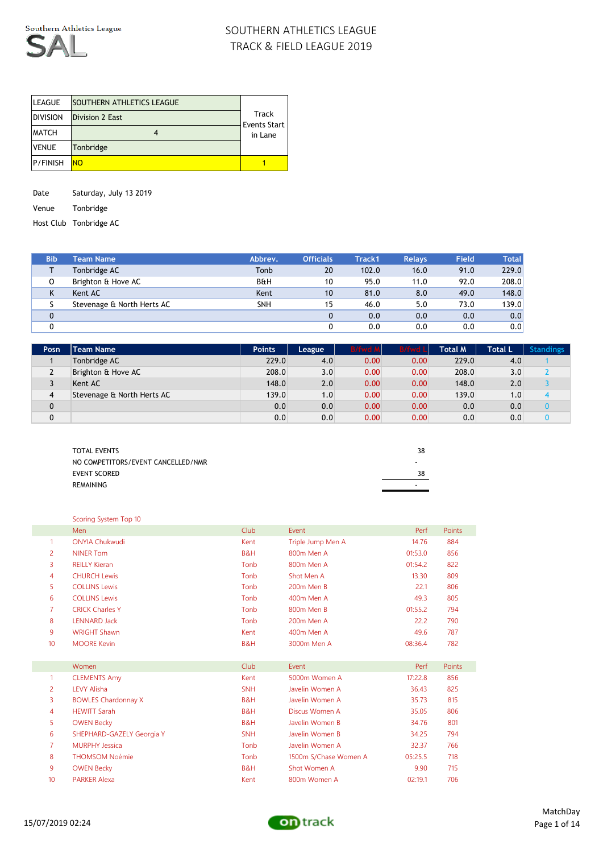

| <b>LEAGUE</b>   | <b>SOUTHERN ATHLETICS LEAGUE</b> |                         |
|-----------------|----------------------------------|-------------------------|
| <b>DIVISION</b> | <b>Division 2 East</b>           | Track                   |
| <b>MATCH</b>    |                                  | Events Start<br>in Lane |
| <b>VENUE</b>    | Tonbridge                        |                         |
| <b>P/FINISH</b> | NO.                              |                         |

Date Saturday, July 13 2019

Venue Tonbridge

Host Club Tonbridge AC

| <b>Bib</b>  | <b>Team Name</b>           | Abbrev.        | <b>Officials</b> | Track1 | <b>Relays</b> | <b>Field</b> | <b>Total</b> |
|-------------|----------------------------|----------------|------------------|--------|---------------|--------------|--------------|
|             | Tonbridge AC               | Tonb           | 20               | 102.0  | 16.0          | 91.0         | 229.0        |
| 0           | Brighton & Hove AC         | <b>B&amp;H</b> | 10               | 95.0   | 11.0          | 92.0         | 208.0        |
| K           | Kent AC                    | Kent           | 10               | 81.0   | 8.0           | 49.0         | 148.0        |
|             | Stevenage & North Herts AC | <b>SNH</b>     | 15               | 46.0   | 5.0           | 73.0         | 139.0        |
| $\mathbf 0$ |                            |                |                  | 0.0    | 0.0           | 0.0          | 0.0          |
|             |                            |                |                  | 0.0    | 0.0           | 0.0          | 0.0          |

| Posn         | <b>Team Name</b>           | <b>Points</b> | League | B/fwd A | <b>B/fwd L</b> | Total M $^{\dagger}$ | <b>Total L</b> | <b>Standings</b> |
|--------------|----------------------------|---------------|--------|---------|----------------|----------------------|----------------|------------------|
|              | Tonbridge AC               | 229.0         | 4.0    | 0.00    | 0.00           | 229.0                | 4.0            |                  |
| 2            | Brighton & Hove AC         | 208.0         | 3.0    | 0.00    | 0.00           | 208.0                | 3.0            |                  |
| ر            | Kent AC                    | 148.0         | 2.0    | 0.00    | 0.00           | 148.0                | 2.0            |                  |
| 4            | Stevenage & North Herts AC | 139.0         | 1.0    | 0.00    | 0.00           | 139.0                | (0.0)          |                  |
| $\mathbf{0}$ |                            | 0.0           | 0.0    | 0.00    | 0.00           | 0.0                  | 0.0            |                  |
| 0            |                            | 0.0           | 0.0    | 0.00    | 0.00           | 0.0                  | 0.0            |                  |

| <b>TOTAL EVENTS</b>                | 38 |
|------------------------------------|----|
| NO COMPETITORS/EVENT CANCELLED/NMR |    |
| <b>EVENT SCORED</b>                | 38 |
| REMAINING                          |    |
|                                    |    |

|                | Scoring System Top 10      |            |                       |         |               |
|----------------|----------------------------|------------|-----------------------|---------|---------------|
|                | Men                        | Club       | Event                 | Perf    | Points        |
| $\mathbf{1}$   | <b>ONYIA Chukwudi</b>      | Kent       | Triple Jump Men A     | 14.76   | 884           |
| 2              | <b>NINER Tom</b>           | B&H        | 800m Men A            | 01:53.0 | 856           |
| 3              | <b>REILLY Kieran</b>       | Tonb       | 800m Men A            | 01:54.2 | 822           |
| 4              | <b>CHURCH Lewis</b>        | Tonb       | Shot Men A            | 13.30   | 809           |
| 5              | <b>COLLINS Lewis</b>       | Tonb       | 200m Men B            | 22.1    | 806           |
| 6              | <b>COLLINS Lewis</b>       | Tonb       | 400m Men A            | 49.3    | 805           |
| $\overline{7}$ | <b>CRICK Charles Y</b>     | Tonb       | 800m Men B            | 01:55.2 | 794           |
| 8              | <b>LENNARD Jack</b>        | Tonb       | 200m Men A            | 22.2    | 790           |
| 9              | <b>WRIGHT Shawn</b>        | Kent       | 400m Men A            | 49.6    | 787           |
| 10             | <b>MOORE Kevin</b>         | B&H        | 3000m Men A           | 08:36.4 | 782           |
|                |                            |            |                       |         |               |
|                | Women                      | Club       | Event                 | Perf    | <b>Points</b> |
| $\mathbf{1}$   | <b>CLEMENTS Amy</b>        | Kent       | 5000m Women A         | 17:22.8 | 856           |
| $\overline{2}$ | <b>LEVY Alisha</b>         | <b>SNH</b> | Javelin Women A       | 36.43   | 825           |
| 3              | <b>BOWLES Chardonnay X</b> | B&H        | Javelin Women A       | 35.73   | 815           |
| 4              | <b>HEWITT Sarah</b>        | B&H        | Discus Women A        | 35.05   | 806           |
| 5              | <b>OWEN Becky</b>          | B&H        | Javelin Women B       | 34.76   | 801           |
| 6              | SHEPHARD-GAZELY Georgia Y  | <b>SNH</b> | Javelin Women B       | 34.25   | 794           |
| 7              | <b>MURPHY Jessica</b>      | Tonb       | Javelin Women A       | 32.37   | 766           |
| 8              | <b>THOMSOM Noémie</b>      | Tonb       | 1500m S/Chase Women A | 05:25.5 | 718           |
| 9              | <b>OWEN Becky</b>          | B&H        | Shot Women A          | 9.90    | 715           |
| 10             | <b>PARKER Alexa</b>        | Kent       | 800m Women A          | 02:19.1 | 706           |

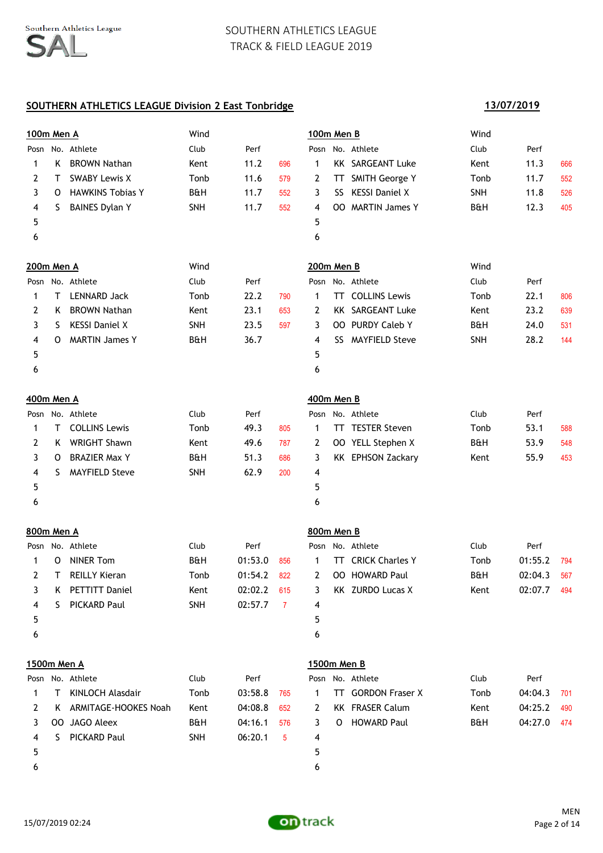### **SOUTHERN ATHLETICS LEAGUE Division 2 East Tonbridge**

# **100m Men A** Wind **100m Men B** Wind Posn No. Athlete Club Perf Posn No. Athlete Club Perf 1 K BROWN Nathan  $K$  Kent 11.2 696 1 KK SARGEANT Luke Kent 11.3 666 2 T SWABY Lewis X Tonb 11.6 579 2 TT SMITH George Y Tonb 11.7 552 3 O HAWKINS Tobias Y B&H 11.7 552 3 SS KESSI Daniel X SNH 11.8 526 4 S BAINES Dylan Y SNH 11.7 552 4 00 MARTIN James Y B&H 12.3 405  $5$  5  $6$ **200m Men A** Wind **200m Men B** Wind Posn No. Athlete Club Perf Posn No. Athlete Club Perf 1 T LENNARD Jack Tonb 22.2 790 1 TT COLLINS Lewis Tonb 22.1 806 2 K BROWN Nathan  $\mu$  Kent 23.1 653 2 KK SARGEANT Luke Kent 23.2 639 3 S KESSI Daniel X 3 SNH 23.5 597 3 OO PURDY Caleb Y B&H 24.0 531 4 O MARTIN James Y B&H 36.7 4 SS MAYFIELD Steve SNH 28.2 144  $5$  5  $6$ **400m Men A 400m Men B** Posn No. Athlete Club Perf Posn No. Athlete Club Perf 1 T COLLINS Lewis Tonb 49.3 805 1 TT TESTER Steven Tonb 53.1 588 2 K WRIGHT Shawn Kent 49.6 787 2 OO YELL Stephen X B&H 53.9 548 3 O BRAZIER Max Y 680 B&H 51.3 686 3 KK EPHSON Zackary Kent 55.9 453 4 S MAYFIELD Steve SNH 62.9 200 4  $5$  5  $6$ **800m Men A 800m Men B** Posn No. Athlete Club Perf Posn No. Athlete Club Perf 1 O NINER Tom **B**&H 01:53.0 856 1 TT CRICK Charles Y Tonb 01:55.2 794 2 T REILLY Kieran Tonb 01:54.2 822 2 OO HOWARD Paul B&H 02:04.3 567 3 K PETTITT Daniel Kent 02:02.2 615 3 KK ZURDO Lucas X Kent 02:07.7 494 4 S PICKARD Paul SNH 02:57.7 7 4  $5$  5  $6$ **1500m Men A 1500m Men B** Posn No. Athlete Club Perf Posn No. Athlete Club Perf 1 T KINLOCH Alasdair Tonb 03:58.8 765 1 TT GORDON Fraser X Tonb 04:04.3 701 2 K ARMITAGE-HOOKES Noah Kent 04:08.8 652 2 KK FRASER Calum Kent 04:25.2 490 3 OO JAGO Aleex B&H 04:16.1 576 3 O HOWARD Paul B&H 04:27.0 474 4 S PICKARD Paul SNH 06:20.1 5 4  $5$  5  $6$



**13/07/2019**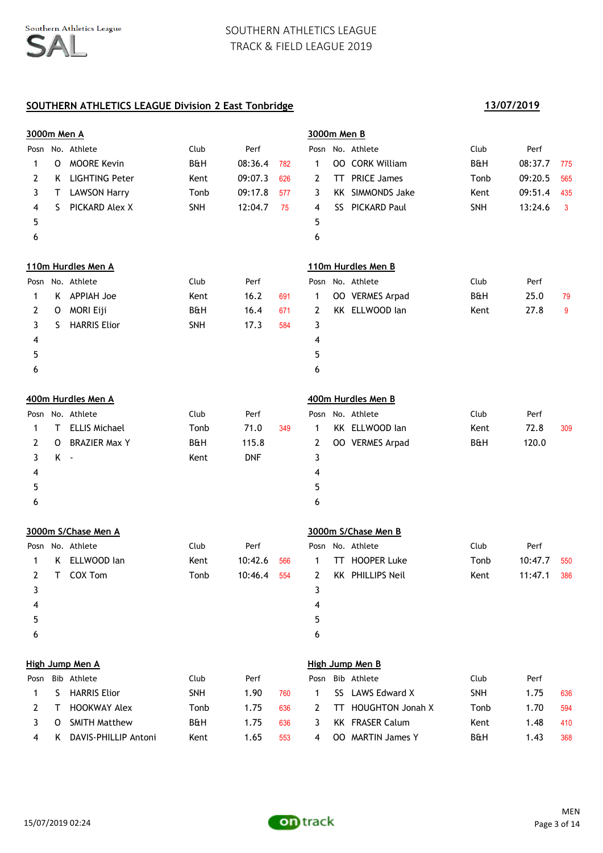|      | 3000m Men A     |                       |                |            |     |      | 3000m Men B |                         |                |         |     |
|------|-----------------|-----------------------|----------------|------------|-----|------|-------------|-------------------------|----------------|---------|-----|
|      |                 | Posn No. Athlete      | Club           | Perf       |     |      |             | Posn No. Athlete        | Club           | Perf    |     |
| 1    | O               | <b>MOORE Kevin</b>    | <b>B&amp;H</b> | 08:36.4    | 782 | 1    |             | <b>00 CORK William</b>  | <b>B&amp;H</b> | 08:37.7 | 775 |
| 2    | K.              | <b>LIGHTING Peter</b> | Kent           | 09:07.3    | 626 | 2    | TT.         | <b>PRICE James</b>      | Tonb           | 09:20.5 | 565 |
| 3    | Τ               | <b>LAWSON Harry</b>   | Tonb           | 09:17.8    | 577 | 3    | KK .        | <b>SIMMONDS Jake</b>    | Kent           | 09:51.4 | 435 |
| 4    | S.              | PICKARD Alex X        | SNH            | 12:04.7    | 75  | 4    | SS          | PICKARD Paul            | SNH            | 13:24.6 | 3   |
| 5    |                 |                       |                |            |     | 5    |             |                         |                |         |     |
| 6    |                 |                       |                |            |     | 6    |             |                         |                |         |     |
|      |                 | 110m Hurdles Men A    |                |            |     |      |             | 110m Hurdles Men B      |                |         |     |
|      |                 | Posn No. Athlete      | Club           | Perf       |     |      |             | Posn No. Athlete        | Club           | Perf    |     |
| 1    |                 | K APPIAH Joe          | Kent           | 16.2       | 691 | 1    |             | OO VERMES Arpad         | <b>B&amp;H</b> | 25.0    | 79  |
| 2    | 0               | MORI Eiji             | <b>B&amp;H</b> | 16.4       | 671 | 2    |             | KK ELLWOOD lan          | Kent           | 27.8    | 9   |
| 3    | S               | <b>HARRIS Elior</b>   | SNH            | 17.3       | 584 | 3    |             |                         |                |         |     |
| 4    |                 |                       |                |            |     | 4    |             |                         |                |         |     |
| 5    |                 |                       |                |            |     | 5    |             |                         |                |         |     |
| 6    |                 |                       |                |            |     | 6    |             |                         |                |         |     |
|      |                 | 400m Hurdles Men A    |                |            |     |      |             | 400m Hurdles Men B      |                |         |     |
| Posn |                 | No. Athlete           | Club           | Perf       |     | Posn |             | No. Athlete             | Club           | Perf    |     |
| 1    | Τ               | <b>ELLIS Michael</b>  | Tonb           | 71.0       | 349 | 1    |             | KK ELLWOOD lan          | Kent           | 72.8    | 309 |
| 2    | 0               | <b>BRAZIER Max Y</b>  | <b>B&amp;H</b> | 115.8      |     | 2    |             | OO VERMES Arpad         | <b>B&amp;H</b> | 120.0   |     |
| 3    | K -             |                       | Kent           | <b>DNF</b> |     | 3    |             |                         |                |         |     |
| 4    |                 |                       |                |            |     | 4    |             |                         |                |         |     |
| 5    |                 |                       |                |            |     | 5    |             |                         |                |         |     |
| 6    |                 |                       |                |            |     | 6    |             |                         |                |         |     |
|      |                 | 3000m S/Chase Men A   |                |            |     |      |             | 3000m S/Chase Men B     |                |         |     |
|      |                 | Posn No. Athlete      | Club           | Perf       |     | Posn |             | No. Athlete             | Club           | Perf    |     |
| 1    | K               | ELLWOOD lan           | Kent           | 10:42.6    | 566 | 1    | TT.         | <b>HOOPER Luke</b>      | Tonb           | 10:47.7 | 550 |
| 2    | T.              | COX Tom               | Tonb           | 10:46.4    | 554 | 2    |             | KK PHILLIPS Neil        | Kent           | 11:47.1 | 386 |
| 3    |                 |                       |                |            |     | 3    |             |                         |                |         |     |
| 4    |                 |                       |                |            |     | 4    |             |                         |                |         |     |
| 5    |                 |                       |                |            |     | 5    |             |                         |                |         |     |
| 6    |                 |                       |                |            |     | 6    |             |                         |                |         |     |
|      | High Jump Men A |                       |                |            |     |      |             | High Jump Men B         |                |         |     |
| Posn |                 | Bib Athlete           | Club           | Perf       |     | Posn |             | Bib Athlete             | Club           | Perf    |     |
| 1    | S.              | <b>HARRIS Elior</b>   | <b>SNH</b>     | 1.90       | 760 | 1    | SS.         | LAWS Edward X           | SNH            | 1.75    | 636 |
| 2    | T               | <b>HOOKWAY Alex</b>   | Tonb           | 1.75       | 636 | 2    | TT.         | <b>HOUGHTON Jonah X</b> | Tonb           | 1.70    | 594 |
| 3    | O               | <b>SMITH Matthew</b>  | B&H            | 1.75       | 636 | 3    |             | <b>KK FRASER Calum</b>  | Kent           | 1.48    | 410 |
| 4    | K.              | DAVIS-PHILLIP Antoni  | Kent           | 1.65       | 553 | 4    |             | OO MARTIN James Y       | B&H            | 1.43    | 368 |

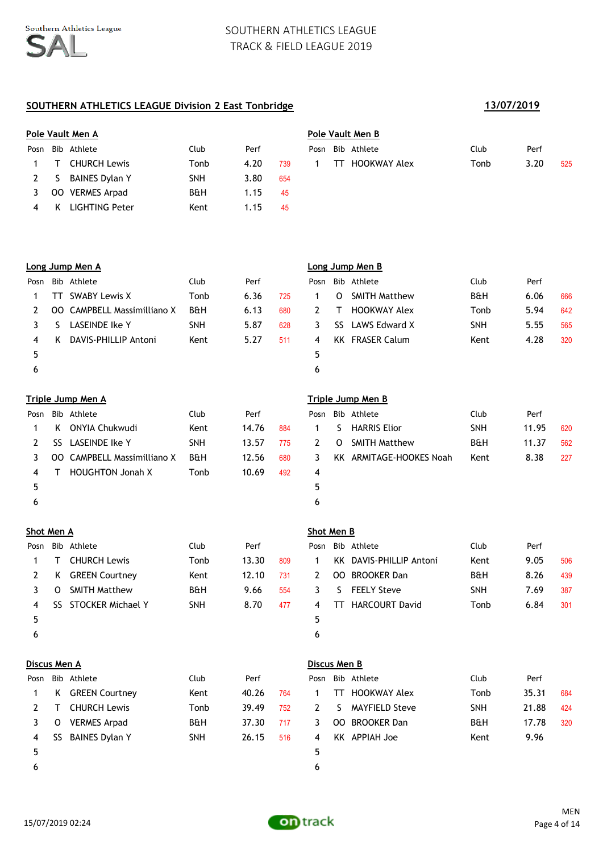# **SOUTHERN ATHLETICS LEAGUE Division 2 East Tonbridge 13/07/2019**

|             |     | Pole Vault Men A      |                |      |     | Pole Vault Men B |     |              |      |      |  |  |
|-------------|-----|-----------------------|----------------|------|-----|------------------|-----|--------------|------|------|--|--|
| Posn        |     | Bib Athlete           | Club           | Perf |     | Posn             |     | Bib Athlete  | Club | Perf |  |  |
|             |     | <b>CHURCH Lewis</b>   | Tonb           | 4.20 | 739 |                  | TT. | HOOKWAY Alex | Tonb | 3.20 |  |  |
| $2^{\circ}$ | -S  | <b>BAINES Dylan Y</b> | <b>SNH</b>     | 3.80 | 654 |                  |     |              |      |      |  |  |
|             | OO. | <b>VERMES Arpad</b>   | <b>B&amp;H</b> | 1.15 | 45  |                  |     |              |      |      |  |  |
| 4           |     | <b>LIGHTING Peter</b> | Kent           | 1.15 | 45  |                  |     |              |      |      |  |  |

| ble Vault Men A |                               |      |      |            |  |     | Pole Vault Men B |      |      |     |  |  |  |  |
|-----------------|-------------------------------|------|------|------------|--|-----|------------------|------|------|-----|--|--|--|--|
|                 | osn Bib Athlete               | Club | Perf |            |  |     | Posn Bib Athlete | Club | Perf |     |  |  |  |  |
|                 | 1 T CHURCH Lewis              | Tonb | 4.20 | 739        |  | TT. | HOOKWAY Alex     | Tonb | 3.20 | 525 |  |  |  |  |
|                 | <sup>2</sup> C DAINEC Dulan V | скіш | חס כ | <b>CEA</b> |  |     |                  |      |      |     |  |  |  |  |

## **Long Jump Men A Long Jump Men B**

| Posn |     | Bib Athlete                        | Club       | Perf |     |    |          | Posn Bib Athlete       | Club           | Perf |     |
|------|-----|------------------------------------|------------|------|-----|----|----------|------------------------|----------------|------|-----|
|      | TT. | SWABY Lewis X                      | Tonb       | 6.36 | 725 |    | $\Omega$ | <b>SMITH Matthew</b>   | <b>B&amp;H</b> | 6.06 | 666 |
|      |     | <b>OO</b> CAMPBELL Massimilliano X | B&H        | 6.13 | 680 |    |          | <b>HOOKWAY Alex</b>    | Tonb           | 5.94 | 642 |
|      | S   | LASEINDE Ike Y                     | <b>SNH</b> | 5.87 | 628 | 3. |          | SS LAWS Edward X       | <b>SNH</b>     | 5.55 | 565 |
| 4    | K   | DAVIS-PHILLIP Antoni               | Kent       | 5.27 | 511 | 4  |          | <b>KK</b> FRASER Calum | Kent           | 4.28 | 320 |
|      |     |                                    |            |      |     | 5  |          |                        |                |      |     |
| ь    |     |                                    |            |      |     | 6  |          |                        |                |      |     |

| Posn |     | Bib Athlete                        | Club           | Perf  |     | Posn |    | Bib Athlete             | Club           | Perf |
|------|-----|------------------------------------|----------------|-------|-----|------|----|-------------------------|----------------|------|
|      | K   | ONYIA Chukwudi                     | Kent           | 14.76 | 884 |      | S. | <b>HARRIS Elior</b>     | <b>SNH</b>     | 11.9 |
|      | SS. | LASEINDE Ike Y                     | <b>SNH</b>     | 13.57 | 775 | 2    | 0  | <b>SMITH Matthew</b>    | <b>B&amp;H</b> | 11.3 |
|      |     | <b>OO</b> CAMPBELL Massimilliano X | <b>B&amp;H</b> | 12.56 | 680 | 3.   |    | KK ARMITAGE-HOOKES Noah | Kent           | 8.38 |
| 4    |     | <b>HOUGHTON Jonah X</b>            | Tonb           | 10.69 | 492 | 4    |    |                         |                |      |
|      |     |                                    |                |       |     | 5    |    |                         |                |      |
|      |     |                                    |                |       |     | 6    |    |                         |                |      |

### **Shot Men A Shot Men B**

| Posn |   | Bib Athlete           | Club           | Perf  |     | Posn |    | Bib Athlete             | Club           | Perf |
|------|---|-----------------------|----------------|-------|-----|------|----|-------------------------|----------------|------|
|      |   | <b>CHURCH Lewis</b>   | Tonb           | 13.30 | 809 |      |    | KK DAVIS-PHILLIP Antoni | Kent           | 9.05 |
|      | K | <b>GREEN Courtney</b> | Kent           | 12.10 | 731 | 2    |    | <b>OO BROOKER Dan</b>   | <b>B&amp;H</b> | 8.26 |
|      | O | <b>SMITH Matthew</b>  | <b>B&amp;H</b> | 9.66  | 554 | 3.   | S. | <b>FEELY Steve</b>      | <b>SNH</b>     | 7.69 |
| 4    |   | SS STOCKER Michael Y  | <b>SNH</b>     | 8.70  | 477 | 4    | TT | <b>HARCOURT David</b>   | Tonb           | 6.84 |
| 5    |   |                       |                |       |     | 5.   |    |                         |                |      |
| 6    |   |                       |                |       |     | 6    |    |                         |                |      |

|                | Posn Bib Athlete       | Club           | Perf |     |
|----------------|------------------------|----------------|------|-----|
| $\overline{1}$ | O SMITH Matthew        | <b>B&amp;H</b> | 6.06 | 666 |
| 2              | T HOOKWAY Alex         | Tonb           | 5.94 | 642 |
| $\overline{3}$ | SS LAWS Edward X       | <b>SNH</b>     | 5.55 | 565 |
| 4              | <b>KK FRASER Calum</b> | Kent           | 4.28 | 320 |
| -5             |                        |                |      |     |
|                |                        |                |      |     |

### **Triple Jump Men A Triple Jump Men B**

|                            | ɔsn Bib Athlete               | Club           | Perf  |     |    |         | Posn Bib Athlete        | Club           | Perf  |     |
|----------------------------|-------------------------------|----------------|-------|-----|----|---------|-------------------------|----------------|-------|-----|
| 1 $\overline{\phantom{a}}$ | K ONYIA Chukwudi              | Kent           | 14.76 | 884 |    | S.      | <b>HARRIS Elior</b>     | <b>SNH</b>     | 11.95 | 620 |
|                            | 2 SS LASEINDE Ike Y           | <b>SNH</b>     | 13.57 | 775 | 2  | $\circ$ | <b>SMITH Matthew</b>    | <b>B&amp;H</b> | 11.37 | 562 |
|                            | 3 OO CAMPBELL Massimilliano X | <b>B&amp;H</b> | 12.56 | 680 | 3. |         | KK ARMITAGE-HOOKES Noah | Kent           | 8.38  | 227 |
| 4                          | <b>HOUGHTON Jonah X</b>       | Tonb           | 10.69 | 492 |    |         |                         |                |       |     |
| 5.                         |                               |                |       |     |    |         |                         |                |       |     |

|            | osn Bib Athlete        | Club           | Perf  |     |             | Posn Bib Athlete        | Club           | Perf |     |
|------------|------------------------|----------------|-------|-----|-------------|-------------------------|----------------|------|-----|
|            | 1 T CHURCH Lewis       | Tonb           | 13.30 | 809 | $\mathbf 1$ | KK DAVIS-PHILLIP Antoni | Kent           | 9.05 | 506 |
|            | 2 K GREEN Courtney     | Kent           | 12.10 | 731 | 2           | <b>OO BROOKER Dan</b>   | <b>B&amp;H</b> | 8.26 | 439 |
|            | 3 O SMITH Matthew      | <b>B&amp;H</b> | 9.66  | 554 | 3           | S FEELY Steve           | <b>SNH</b>     | 7.69 | 387 |
|            | 4 SS STOCKER Michael Y | <b>SNH</b>     | 8.70  | 477 |             | 4 TT HARCOURT David     | Tonb           | 6.84 | 301 |
| 5          |                        |                |       |     |             |                         |                |      |     |
| $\epsilon$ |                        |                |       |     |             |                         |                |      |     |

|      | Discus Men A |                       |                |       |     | Discus Men B |     |                       |                |       |                 |  |
|------|--------------|-----------------------|----------------|-------|-----|--------------|-----|-----------------------|----------------|-------|-----------------|--|
| Posn |              | Bib Athlete           | Club           | Perf  |     |              |     | Posn Bib Athlete      | Club           | Perf  |                 |  |
|      | ĸ            | <b>GREEN Courtney</b> | Kent           | 40.26 | 764 |              | TТ  | <b>HOOKWAY Alex</b>   | Tonb           | 35.31 | 684             |  |
|      |              | <b>CHURCH Lewis</b>   | Tonb           | 39.49 | 752 | 2            | S.  | <b>MAYFIELD Steve</b> | <b>SNH</b>     | 21.88 | 424             |  |
|      |              | <b>VERMES Arpad</b>   | <b>B&amp;H</b> | 37.30 | 717 | 3.           | OO. | <b>BROOKER Dan</b>    | <b>B&amp;H</b> | 17.78 | 32 <sub>0</sub> |  |
| 4    | SS           | <b>BAINES Dylan Y</b> | <b>SNH</b>     | 26.15 | 516 | 4            | KK. | APPIAH Joe            | Kent           | 9.96  |                 |  |
|      |              |                       |                |       |     |              |     |                       |                |       |                 |  |

|     | scus Men B |             |  |
|-----|------------|-------------|--|
| ısn |            | Bib Athlete |  |

|                            | sii did Athlete     | ciup       | ren   |     |             |    | POSIL DID ALITTLE | <b>Club</b>    | ren.  |     |
|----------------------------|---------------------|------------|-------|-----|-------------|----|-------------------|----------------|-------|-----|
| 1 $\overline{\phantom{a}}$ | K GREEN Courtney    | Kent       | 40.26 | 764 | $\mathbf 1$ |    | TT HOOKWAY Alex   | Tonb           | 35.31 | 684 |
|                            | 2 T CHURCH Lewis    | Tonb       | 39.49 | 752 | 2           | S. | MAYFIELD Steve    | <b>SNH</b>     | 21.88 | 424 |
| 3                          | O VERMES Arpad      | B&H        | 37.30 | 717 | 3.          |    | OO BROOKER Dan    | <b>B&amp;H</b> | 17.78 | 320 |
|                            | 4 SS BAINES Dylan Y | <b>SNH</b> | 26.15 | 516 | 4           |    | KK APPIAH Joe     | Kent           | 9.96  |     |
| 5.                         |                     |            |       |     |             |    |                   |                |       |     |

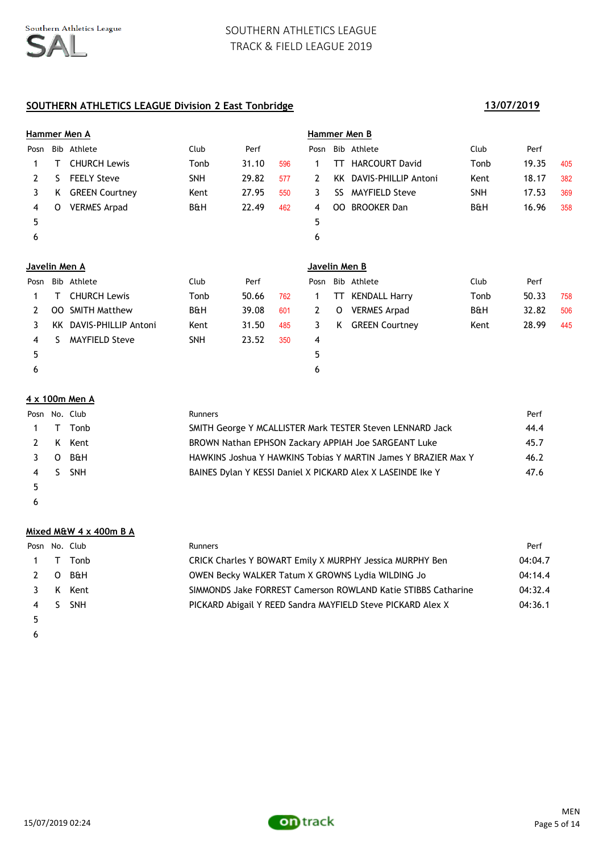# **SOUTHERN ATHLETICS LEAGUE Division 2 East Tonbridge 13/07/2019**

|                | Hammer Men A  |                       |                |       |     | Hammer Men B          |      |                       |            |       |     |
|----------------|---------------|-----------------------|----------------|-------|-----|-----------------------|------|-----------------------|------------|-------|-----|
| Posn           |               | Bib Athlete           | Club           | Perf  |     | Posn                  |      | Bib Athlete           | Club       | Perf  |     |
| 1.             | т             | <b>CHURCH Lewis</b>   | Tonb           | 31.10 | 596 | 1                     | TT   | <b>HARCOURT David</b> | Tonb       | 19.35 | 405 |
| $\mathbf{2}$   | S.            | <b>FEELY Steve</b>    | <b>SNH</b>     | 29.82 | 577 | $\mathbf{2}^{\prime}$ | KK I | DAVIS-PHILLIP Antoni  | Kent       | 18.17 | 382 |
| 3              | K.            | <b>GREEN Courtney</b> | Kent           | 27.95 | 550 | 3                     | SS   | <b>MAYFIELD Steve</b> | <b>SNH</b> | 17.53 | 369 |
| 4              | 0             | <b>VERMES Arpad</b>   | <b>B&amp;H</b> | 22.49 | 462 | 4                     | OO.  | <b>BROOKER Dan</b>    | B&H        | 16.96 | 358 |
| 5              |               |                       |                |       |     | 5                     |      |                       |            |       |     |
| 6              |               |                       |                |       |     | 6                     |      |                       |            |       |     |
|                |               |                       |                |       |     |                       |      |                       |            |       |     |
|                | Javelin Men A |                       |                |       |     |                       |      |                       |            |       |     |
|                |               |                       |                |       |     | Javelin Men B         |      |                       |            |       |     |
| Posn           | Bib           | Athlete               | Club           | Perf  |     | Posn                  | Bib  | Athlete               | Club       | Perf  |     |
| 1              |               | <b>CHURCH Lewis</b>   | Tonb           | 50.66 | 762 | 1                     | TT   | <b>KENDALL Harry</b>  | Tonb       | 50.33 | 758 |
| $\overline{2}$ | OO.           | <b>SMITH Matthew</b>  | <b>B&amp;H</b> | 39.08 | 601 | $\mathbf{2}$          | 0    | <b>VERMES Arpad</b>   | B&H        | 32.82 | 506 |
| 3              | KK.           | DAVIS-PHILLIP Antoni  | Kent           | 31.50 | 485 | 3                     | K    | <b>GREEN Courtney</b> | Kent       | 28.99 | 445 |
| 4              | S.            | <b>MAYFIELD Steve</b> | <b>SNH</b>     | 23.52 | 350 | 4                     |      |                       |            |       |     |
| 5              |               |                       |                |       |     | 5                     |      |                       |            |       |     |

### **4 x 100m Men A**

| Posn No. Club |     |            | <b>Runners</b>                                                 | Perf |
|---------------|-----|------------|----------------------------------------------------------------|------|
|               | 1 T | Tonb       | SMITH George Y MCALLISTER Mark TESTER Steven LENNARD Jack      | 44.4 |
|               |     | 2 K Kent   | BROWN Nathan EPHSON Zackary APPIAH Joe SARGEANT Luke           | 45.7 |
|               |     | $3$ O B&H  | HAWKINS Joshua Y HAWKINS Tobias Y MARTIN James Y BRAZIER Max Y | 46.2 |
| 4 S           |     | <b>SNH</b> | BAINES Dylan Y KESSI Daniel X PICKARD Alex X LASEINDE Ike Y    | 47.6 |
|               |     |            |                                                                |      |

 $\epsilon$ 

### **Mixed M&W 4 x 400m B A**

|    | Posn No. Club | <b>Runners</b>                                                | Perf    |
|----|---------------|---------------------------------------------------------------|---------|
|    | 1 T Tonb      | CRICK Charles Y BOWART Emily X MURPHY Jessica MURPHY Ben      | 04:04.7 |
|    | $2$ O B&H     | OWEN Becky WALKER Tatum X GROWNS Lydia WILDING Jo             | 04:14.4 |
|    | 3 K Kent      | SIMMONDS Jake FORREST Camerson ROWLAND Katie STIBBS Catharine | 04:32.4 |
|    | 4 S SNH       | PICKARD Abigail Y REED Sandra MAYFIELD Steve PICKARD Alex X   | 04:36.1 |
| 5. |               |                                                               |         |

 $\epsilon$ 

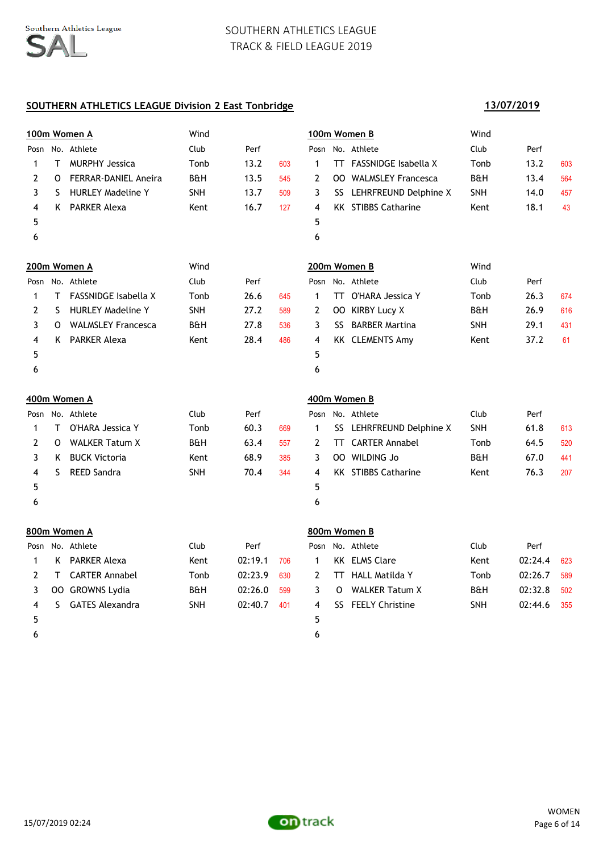# **SOUTHERN ATHLETICS LEAGUE Division 2 East Tonbridge**

# **100m Women A** Wind **100m Women B** Wind Posn No. Athlete Club Perf Posn No. Athlete Club Perf 1 T MURPHY Jessica Tonb 13.2 603 1 TT FASSNIDGE Isabella X Tonb 13.2 603 2 O FERRAR-DANIEL Aneira B&H 13.5 545 2 OO WALMSLEY Francesca B&H 13.4 564 3 S HURLEY Madeline Y 5NH 13.7 509 3 SS LEHRFREUND Delphine X SNH 14.0 457 4 K PARKER Alexa **Kent** 16.7 127 4 KK STIBBS Catharine Kent 18.1 43  $5$  5  $6$ **200m Women A** Wind **200m Women B** Wind Posn No. Athlete Club Perf Posn No. Athlete Club Perf 1 T FASSNIDGE Isabella X Tonb 26.6 645 1 TT O'HARA Jessica Y Tonb 26.3 674 2 S HURLEY Madeline Y SNH 27.2 589 2 OO KIRBY Lucy X B&H 26.9 616 3 O WALMSLEY Francesca B&H 27.8 536 3 SS BARBER Martina SNH 29.1 431 4 K PARKER Alexa **Kent** 28.4 486 4 KK CLEMENTS Amy Kent 37.2 61  $5$  5  $6$ **400m Women A 400m Women B** Posn No. Athlete Club Perf Posn No. Athlete Club Perf 1 T O'HARA Jessica Y Tonb 60.3 669 1 SS LEHRFREUND Delphine X SNH 61.8 613 2 O WALKER Tatum X B&H 63.4 557 2 TT CARTER Annabel Tonb 64.5 520 3 K BUCK Victoria  $\sim$  Kent 68.9 385 3 00 WILDING Jo B&H 67.0 441 4 S REED Sandra SNH 70.4 344 4 KK STIBBS Catharine Kent 76.3 207  $5$  5  $6$ **800m Women A 800m Women B** Posn No. Athlete Club Perf Posn No. Athlete Club Perf 1 K PARKER Alexa Kent 02:19.1 706 1 KK ELMS Clare Kent 02:24.4 623 2 T CARTER Annabel 10 Tonb 02:23.9 630 2 TT HALL Matilda Y 100 12:26.7 589 3 OO GROWNS Lydia  $B\&H$  02:26.0 599 3 O WALKER Tatum X B&H 02:32.8 502 4 S GATES Alexandra SNH 02:40.7 401 4 SS FEELY Christine SNH 02:44.6 355  $5$  5

 $6$ 



**13/07/2019**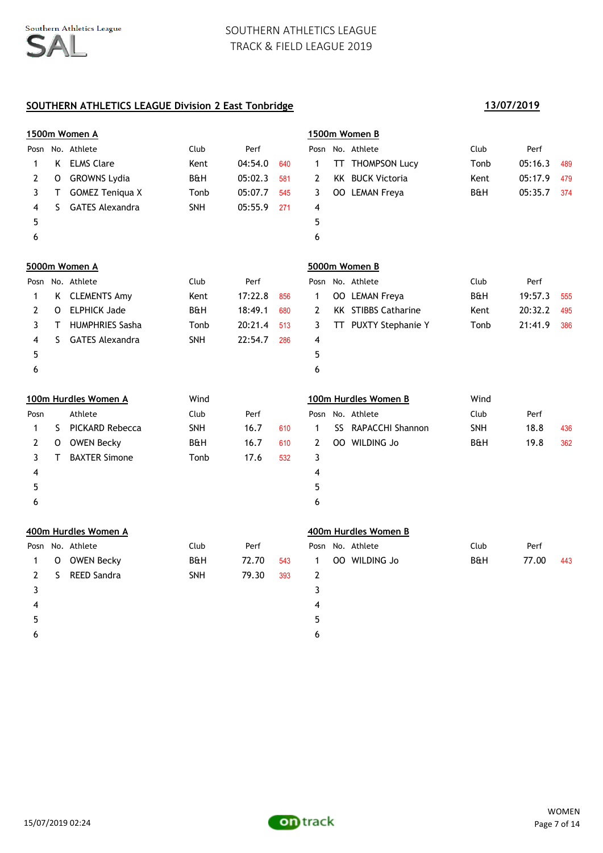|              |    | 1500m Women A          |                |         |     |                | 1500m Women B              |                |         |     |
|--------------|----|------------------------|----------------|---------|-----|----------------|----------------------------|----------------|---------|-----|
|              |    | Posn No. Athlete       | Club           | Perf    |     |                | Posn No. Athlete           | Club           | Perf    |     |
| 1            |    | K ELMS Clare           | Kent           | 04:54.0 | 640 | $\mathbf{1}$   | TT THOMPSON Lucy           | Tonb           | 05:16.3 | 489 |
| 2            | 0  | <b>GROWNS Lydia</b>    | <b>B&amp;H</b> | 05:02.3 | 581 | $\overline{2}$ | <b>KK BUCK Victoria</b>    | Kent           | 05:17.9 | 479 |
| 3            | Τ  | <b>GOMEZ Teniqua X</b> | Tonb           | 05:07.7 | 545 | 3              | OO LEMAN Freya             | <b>B&amp;H</b> | 05:35.7 | 374 |
| 4            | S. | <b>GATES Alexandra</b> | SNH            | 05:55.9 | 271 | 4              |                            |                |         |     |
| 5            |    |                        |                |         |     | 5              |                            |                |         |     |
| 6            |    |                        |                |         |     | 6              |                            |                |         |     |
|              |    | 5000m Women A          |                |         |     |                | 5000m Women B              |                |         |     |
|              |    | Posn No. Athlete       | Club           | Perf    |     | Posn           | No. Athlete                | Club           | Perf    |     |
| 1            |    | K CLEMENTS Amy         | Kent           | 17:22.8 | 856 | $\mathbf{1}$   | <b>OO LEMAN Freya</b>      | B&H            | 19:57.3 | 555 |
| 2            | 0  | <b>ELPHICK Jade</b>    | <b>B&amp;H</b> | 18:49.1 | 680 | $\mathbf{2}$   | <b>KK STIBBS Catharine</b> | Kent           | 20:32.2 | 495 |
| 3            | Τ  | <b>HUMPHRIES Sasha</b> | Tonb           | 20:21.4 | 513 | 3              | TT PUXTY Stephanie Y       | Tonb           | 21:41.9 | 386 |
| 4            | S. | <b>GATES Alexandra</b> | SNH            | 22:54.7 | 286 | 4              |                            |                |         |     |
| 5            |    |                        |                |         |     | 5              |                            |                |         |     |
| 6            |    |                        |                |         |     | 6              |                            |                |         |     |
|              |    | 100m Hurdles Women A   | Wind           |         |     |                | 100m Hurdles Women B       | Wind           |         |     |
| Posn         |    | Athlete                | Club           | Perf    |     |                | Posn No. Athlete           | Club           | Perf    |     |
| 1            | S. | <b>PICKARD Rebecca</b> | SNH            | 16.7    | 610 | $\mathbf{1}$   | SS RAPACCHI Shannon        | SNH            | 18.8    | 436 |
| $\mathbf{2}$ | 0  | <b>OWEN Becky</b>      | <b>B&amp;H</b> | 16.7    | 610 | $\overline{2}$ | OO WILDING Jo              | <b>B&amp;H</b> | 19.8    | 362 |
| 3            | Τ  | <b>BAXTER Simone</b>   | Tonb           | 17.6    | 532 | 3              |                            |                |         |     |
| 4            |    |                        |                |         |     | 4              |                            |                |         |     |
| 5            |    |                        |                |         |     | 5              |                            |                |         |     |
| 6            |    |                        |                |         |     | 6              |                            |                |         |     |
|              |    | 400m Hurdles Women A   |                |         |     |                | 400m Hurdles Women B       |                |         |     |
|              |    | Posn No. Athlete       | Club           | Perf    |     |                | Posn No. Athlete           | Club           | Perf    |     |
| 1            | 0  | <b>OWEN Becky</b>      | <b>B&amp;H</b> | 72.70   | 543 | $\mathbf{1}$   | OO WILDING Jo              | <b>B&amp;H</b> | 77.00   | 443 |
| $\mathbf{2}$ | S  | <b>REED Sandra</b>     | <b>SNH</b>     | 79.30   | 393 | $\mathbf{2}$   |                            |                |         |     |
|              |    |                        |                |         |     |                |                            |                |         |     |
| 3            |    |                        |                |         |     | 3              |                            |                |         |     |
| 4            |    |                        |                |         |     | 4              |                            |                |         |     |
| 5            |    |                        |                |         |     | 5              |                            |                |         |     |

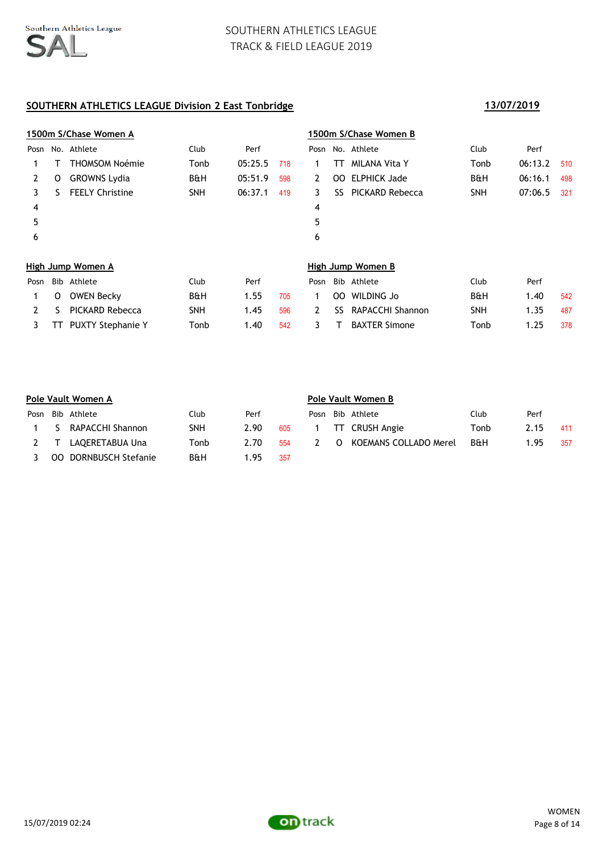|      |     | 1500m S/Chase Women A    |                |         |     |                       |                 | 1500m S/Chase Women B |                |         |     |
|------|-----|--------------------------|----------------|---------|-----|-----------------------|-----------------|-----------------------|----------------|---------|-----|
| Posn |     | No. Athlete              | Club           | Perf    |     |                       |                 | Posn No. Athlete      | Club           | Perf    |     |
|      |     | <b>THOMSOM Noémie</b>    | Tonb           | 05:25.5 | 718 |                       | TТ              | <b>MILANA Vita Y</b>  | Tonb           | 06:13.2 | 510 |
| 2    | o   | <b>GROWNS Lydia</b>      | <b>B&amp;H</b> | 05:51.9 | 598 | 2                     | 00 <sub>1</sub> | <b>ELPHICK Jade</b>   | <b>B&amp;H</b> | 06:16.1 | 498 |
| 3    | S   | <b>FEELY Christine</b>   | <b>SNH</b>     | 06:37.1 | 419 | 3                     | SS.             | PICKARD Rebecca       | <b>SNH</b>     | 07:06.5 | 321 |
| 4    |     |                          |                |         |     | 4                     |                 |                       |                |         |     |
| 5    |     |                          |                |         |     | 5                     |                 |                       |                |         |     |
| 6    |     |                          |                |         |     | 6                     |                 |                       |                |         |     |
|      |     | High Jump Women A        |                |         |     |                       |                 | High Jump Women B     |                |         |     |
| Posn | Bib | Athlete                  | Club           | Perf    |     | Posn                  |                 | Bib Athlete           | Club           | Perf    |     |
| 1    | 0   | <b>OWEN Becky</b>        | <b>B&amp;H</b> | 1.55    | 705 | 1                     | 00 <sub>1</sub> | WILDING Jo            | <b>B&amp;H</b> | 1.40    | 542 |
| 2    | S   | PICKARD Rebecca          | <b>SNH</b>     | 1.45    | 596 | $\mathbf{2}^{\prime}$ | SS              | RAPACCHI Shannon      | <b>SNH</b>     | 1.35    | 487 |
| 3    | TТ  | <b>PUXTY Stephanie Y</b> | Tonb           | 1.40    | 542 | 3                     |                 | <b>BAXTER Simone</b>  | Tonb           | 1.25    | 378 |

|      | Pole Vault Women A |                    |                |      |     | Pole Vault Women B |          |                       |                |      |     |  |
|------|--------------------|--------------------|----------------|------|-----|--------------------|----------|-----------------------|----------------|------|-----|--|
| Posn |                    | Bib Athlete        | Club           | Perf |     | Posn               |          | Bib Athlete           | Club           | Perf |     |  |
|      | -S.                | RAPACCHI Shannon   | SNH            | 2.90 | 605 |                    |          | TT CRUSH Angie        | Tonb           | 2.15 | 411 |  |
|      |                    | LAQERETABUA Una    | Tonb           | 2.70 | 554 | $\mathcal{P}$      | $\Omega$ | KOEMANS COLLADO Merel | <b>B&amp;H</b> | 1.95 | 357 |  |
|      | OO.                | DORNBUSCH Stefanie | <b>B&amp;H</b> | 1.95 | 357 |                    |          |                       |                |      |     |  |

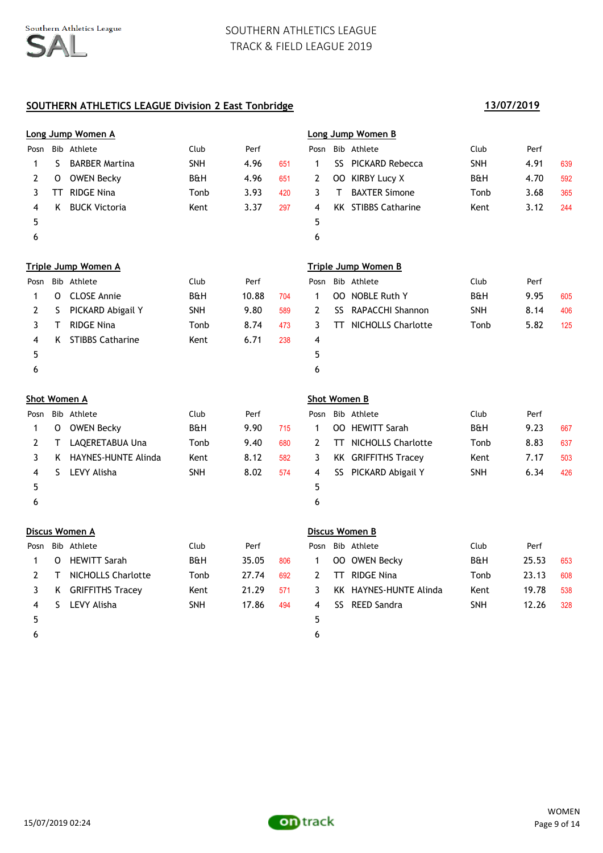|              |         | Long Jump Women A          |                |       |     |                     | Long Jump Women B          |                |       |     |
|--------------|---------|----------------------------|----------------|-------|-----|---------------------|----------------------------|----------------|-------|-----|
| Posn         |         | Bib Athlete                | Club           | Perf  |     | Posn                | Bib Athlete                | Club           | Perf  |     |
| $\mathbf{1}$ | S.      | <b>BARBER Martina</b>      | SNH            | 4.96  | 651 | $\mathbf{1}$        | SS PICKARD Rebecca         | SNH            | 4.91  | 639 |
| 2            | $\circ$ | OWEN Becky                 | B&H            | 4.96  | 651 | 2                   | OO KIRBY Lucy X            | B&H            | 4.70  | 592 |
| 3            |         | TT RIDGE Nina              | Tonb           | 3.93  | 420 | 3                   | T BAXTER Simone            | Tonb           | 3.68  | 365 |
| 4            | K       | <b>BUCK Victoria</b>       | Kent           | 3.37  | 297 | 4                   | <b>KK STIBBS Catharine</b> | Kent           | 3.12  | 244 |
| 5            |         |                            |                |       |     | 5                   |                            |                |       |     |
| 6            |         |                            |                |       |     | 6                   |                            |                |       |     |
|              |         | <b>Triple Jump Women A</b> |                |       |     |                     | <b>Triple Jump Women B</b> |                |       |     |
| Posn         |         | Bib Athlete                | Club           | Perf  |     | Posn                | Bib Athlete                | Club           | Perf  |     |
| 1            |         | O CLOSE Annie              | <b>B&amp;H</b> | 10.88 | 704 | $\mathbf{1}$        | OO NOBLE Ruth Y            | <b>B&amp;H</b> | 9.95  | 605 |
| 2            | S       | PICKARD Abigail Y          | SNH            | 9.80  | 589 | $\mathbf{2}$        | SS RAPACCHI Shannon        | SNH            | 8.14  | 406 |
| 3            | T       | <b>RIDGE Nina</b>          | Tonb           | 8.74  | 473 | 3                   | TT NICHOLLS Charlotte      | Tonb           | 5.82  | 125 |
| 4            |         | K STIBBS Catharine         | Kent           | 6.71  | 238 | 4                   |                            |                |       |     |
| 5            |         |                            |                |       |     | 5                   |                            |                |       |     |
| 6            |         |                            |                |       |     | 6                   |                            |                |       |     |
|              |         | <b>Shot Women A</b>        |                |       |     | <b>Shot Women B</b> |                            |                |       |     |
| Posn         |         | Bib Athlete                | Club           | Perf  |     | Posn                | Bib Athlete                | Club           | Perf  |     |
| $\mathbf{1}$ |         | O OWEN Becky               | <b>B&amp;H</b> | 9.90  | 715 | $\mathbf{1}$        | OO HEWITT Sarah            | <b>B&amp;H</b> | 9.23  | 667 |
| 2            | T.      | LAQERETABUA Una            | Tonb           | 9.40  | 680 | 2                   | TT NICHOLLS Charlotte      | Tonb           | 8.83  | 637 |
| 3            |         | K HAYNES-HUNTE Alinda      | Kent           | 8.12  | 582 | 3                   | <b>KK GRIFFITHS Tracey</b> | Kent           | 7.17  | 503 |
| 4            | S.      | <b>LEVY Alisha</b>         | SNH            | 8.02  | 574 | 4                   | SS PICKARD Abigail Y       | <b>SNH</b>     | 6.34  | 426 |
| 5            |         |                            |                |       |     | 5                   |                            |                |       |     |
| 6            |         |                            |                |       |     | 6                   |                            |                |       |     |
|              |         | Discus Women A             |                |       |     |                     | Discus Women B             |                |       |     |
| Posn         |         | Bib Athlete                | Club           | Perf  |     | Posn                | Bib Athlete                | Club           | Perf  |     |
| 1            |         | O HEWITT Sarah             | <b>B&amp;H</b> | 35.05 | 806 | $\mathbf{1}$        | OO OWEN Becky              | <b>B&amp;H</b> | 25.53 | 653 |
| 2            | T.      | <b>NICHOLLS Charlotte</b>  | Tonb           | 27.74 | 692 | 2                   | <b>TT</b> RIDGE Nina       | Tonb           | 23.13 | 608 |
| 3            |         | K GRIFFITHS Tracey         | Kent           | 21.29 | 571 | 3                   | KK HAYNES-HUNTE Alinda     | Kent           | 19.78 | 538 |
|              |         |                            |                |       |     | 4                   | SS REED Sandra             | SNH            | 12.26 | 328 |
| 4            | S.      | <b>LEVY Alisha</b>         | <b>SNH</b>     | 17.86 | 494 |                     |                            |                |       |     |
| 5            |         |                            |                |       |     | 5                   |                            |                |       |     |
| 6            |         |                            |                |       |     | 6                   |                            |                |       |     |

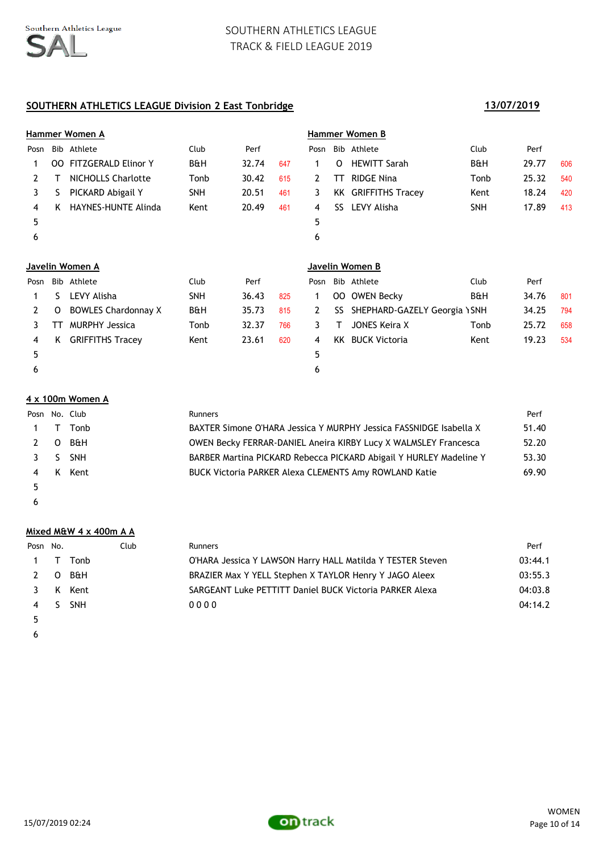# **SOUTHERN ATHLETICS LEAGUE Division 2 East Tonbridge 13/07/2019**

|              | Hammer Women A |                            |            |       |     |                 |      | Hammer Women B               |                |       |     |  |  |  |
|--------------|----------------|----------------------------|------------|-------|-----|-----------------|------|------------------------------|----------------|-------|-----|--|--|--|
| Posn         |                | Bib Athlete                | Club       | Perf  |     | Posn            |      | Bib Athlete                  | Club           | Perf  |     |  |  |  |
| 1            | OO.            | <b>FITZGERALD Elinor Y</b> | B&H        | 32.74 | 647 | $\mathbf 1$     | O    | <b>HEWITT Sarah</b>          | <b>B&amp;H</b> | 29.77 | 606 |  |  |  |
| 2            |                | <b>NICHOLLS Charlotte</b>  | Tonb       | 30.42 | 615 | 2               | TT.  | <b>RIDGE Nina</b>            | Tonb           | 25.32 | 540 |  |  |  |
| 3            | S              | PICKARD Abigail Y          | SNH        | 20.51 | 461 | 3               |      | <b>KK GRIFFITHS Tracev</b>   | Kent           | 18.24 | 420 |  |  |  |
| 4            | K              | <b>HAYNES-HUNTE Alinda</b> | Kent       | 20.49 | 461 | 4               | SS.  | LEVY Alisha                  | <b>SNH</b>     | 17.89 | 413 |  |  |  |
| 5            |                |                            |            |       |     | 5               |      |                              |                |       |     |  |  |  |
| 6            |                |                            |            |       |     | 6               |      |                              |                |       |     |  |  |  |
|              |                |                            |            |       |     |                 |      |                              |                |       |     |  |  |  |
|              |                | Javelin Women A            |            |       |     | Javelin Women B |      |                              |                |       |     |  |  |  |
| Posn         |                | Bib Athlete                | Club       | Perf  |     | Posn            |      | Bib Athlete                  | Club           | Perf  |     |  |  |  |
|              | S.             | LEVY Alisha                | <b>SNH</b> | 36.43 | 825 | 1               | OO.  | <b>OWEN Becky</b>            | <b>B&amp;H</b> | 34.76 | 801 |  |  |  |
| $\mathbf{2}$ | 0              | <b>BOWLES Chardonnay X</b> | B&H        | 35.73 | 815 | $\mathbf{2}$    | SS   | SHEPHARD-GAZELY Georgia \SNH |                | 34.25 | 794 |  |  |  |
| 3            | TТ             | <b>MURPHY Jessica</b>      | Tonb       | 32.37 | 766 | 3               | т    | JONES Keira X                | Tonb           | 25.72 | 658 |  |  |  |
| 4            | K              | <b>GRIFFITHS Tracey</b>    | Kent       | 23.61 | 620 | 4               | KK I | <b>BUCK Victoria</b>         | Kent           | 19.23 | 534 |  |  |  |
| 5            |                |                            |            |       |     | 5               |      |                              |                |       |     |  |  |  |
| 6            |                |                            |            |       |     | 6               |      |                              |                |       |     |  |  |  |

### **4 x 100m Women A**

|     |   | Posn No. Club | <b>Runners</b>                                                     | Perf  |
|-----|---|---------------|--------------------------------------------------------------------|-------|
|     |   | Tonb          | BAXTER Simone O'HARA Jessica Y MURPHY Jessica FASSNIDGE Isabella X | 51.40 |
| 2 O |   | B&H           | OWEN Becky FERRAR-DANIEL Aneira KIRBY Lucy X WALMSLEY Francesca    | 52.20 |
| 3S  |   | <b>SNH</b>    | BARBER Martina PICKARD Rebecca PICKARD Abigail Y HURLEY Madeline Y | 53.30 |
| 4   | K | Kent          | <b>BUCK Victoria PARKER Alexa CLEMENTS Amy ROWLAND Katie</b>       | 69.90 |
| 5   |   |               |                                                                    |       |

 $\epsilon$ 

### **Mixed M&W 4 x 400m A A**

| Posn No. |          | <b>Club</b> | <b>Runners</b>                                             | Perf    |
|----------|----------|-------------|------------------------------------------------------------|---------|
|          | 1 T Tonb |             | O'HARA Jessica Y LAWSON Harry HALL Matilda Y TESTER Steven | 03:44.1 |
|          | 2 O B&H  |             | BRAZIER Max Y YELL Stephen X TAYLOR Henry Y JAGO Aleex     | 03:55.3 |
| 3 I      | K Kent   |             | SARGEANT Luke PETTITT Daniel BUCK Victoria PARKER Alexa    | 04:03.8 |
|          | 4 S SNH  |             | 0000                                                       | 04:14.2 |
|          |          |             |                                                            |         |



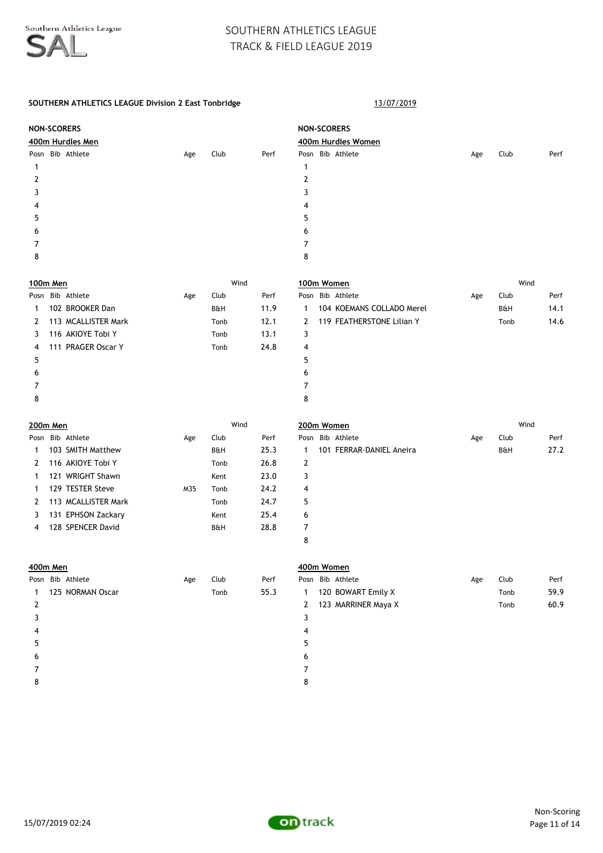### SOUTHERN ATHLETICS LEAGUE Division 2 East Tonbridge 13/07/2019

|                 | <b>NON-SCORERS</b> |                     |     |                |      | <b>NON-SCORERS</b>  |                           |     |                |      |  |  |
|-----------------|--------------------|---------------------|-----|----------------|------|---------------------|---------------------------|-----|----------------|------|--|--|
|                 | 400m Hurdles Men   |                     |     |                |      | 400m Hurdles Women  |                           |     |                |      |  |  |
|                 |                    | Posn Bib Athlete    | Age | Club           | Perf |                     | Posn Bib Athlete          | Age | Club           | Perf |  |  |
| $\mathbf{1}$    |                    |                     |     |                |      | $\mathbf{1}$        |                           |     |                |      |  |  |
| 2               |                    |                     |     |                |      | 2                   |                           |     |                |      |  |  |
| 3               |                    |                     |     |                |      | 3                   |                           |     |                |      |  |  |
| 4               |                    |                     |     |                |      | 4                   |                           |     |                |      |  |  |
| 5               |                    |                     |     |                |      | 5                   |                           |     |                |      |  |  |
| 6               |                    |                     |     |                |      | 6                   |                           |     |                |      |  |  |
| 7               |                    |                     |     |                |      | $\overline{7}$      |                           |     |                |      |  |  |
| 8               |                    |                     |     |                |      | 8                   |                           |     |                |      |  |  |
| 100m Men        |                    |                     |     | Wind           |      |                     | 100m Women                |     | Wind           |      |  |  |
|                 |                    | Posn Bib Athlete    | Age | Club           | Perf |                     | Posn Bib Athlete          | Age | Club           | Perf |  |  |
| 1               |                    | 102 BROOKER Dan     |     | <b>B&amp;H</b> | 11.9 | 1                   | 104 KOEMANS COLLADO Merel |     | B&H            | 14.1 |  |  |
| 2               |                    | 113 MCALLISTER Mark |     | Tonb           | 12.1 | 2                   | 119 FEATHERSTONE Lilian Y |     | Tonb           | 14.6 |  |  |
| 3               |                    | 116 AKIOYE Tobi Y   |     | Tonb           | 13.1 | 3                   |                           |     |                |      |  |  |
| 4               |                    | 111 PRAGER Oscar Y  |     | Tonb           | 24.8 | 4                   |                           |     |                |      |  |  |
| 5               |                    |                     |     |                |      | 5                   |                           |     |                |      |  |  |
| 6               |                    |                     |     |                |      | 6                   |                           |     |                |      |  |  |
| 7               |                    |                     |     |                |      | 7                   |                           |     |                |      |  |  |
| 8               |                    |                     |     |                |      | 8                   |                           |     |                |      |  |  |
| <b>200m Men</b> |                    |                     |     | Wind           |      |                     | 200m Women                |     | Wind           |      |  |  |
|                 |                    | Posn Bib Athlete    | Age | Club           | Perf |                     | Posn Bib Athlete          | Age | Club           | Perf |  |  |
| 1               |                    | 103 SMITH Matthew   |     | B&H            | 25.3 | $\mathbf{1}$        | 101 FERRAR-DANIEL Aneira  |     | <b>B&amp;H</b> | 27.2 |  |  |
| 2               |                    | 116 AKIOYE Tobi Y   |     | Tonb           | 26.8 | 2                   |                           |     |                |      |  |  |
| 1               |                    | 121 WRIGHT Shawn    |     | Kent           | 23.0 | 3                   |                           |     |                |      |  |  |
| 1               |                    | 129 TESTER Steve    | M35 | Tonb           | 24.2 | 4                   |                           |     |                |      |  |  |
| 2               |                    | 113 MCALLISTER Mark |     | Tonb           | 24.7 | 5                   |                           |     |                |      |  |  |
| 3               |                    | 131 EPHSON Zackary  |     | Kent           | 25.4 | 6                   |                           |     |                |      |  |  |
| 4               |                    | 128 SPENCER David   |     | <b>B&amp;H</b> | 28.8 | $\overline{7}$<br>8 |                           |     |                |      |  |  |
|                 |                    |                     |     |                |      |                     |                           |     |                |      |  |  |
| 400m Men        |                    |                     |     |                |      |                     | 400m Women                |     |                |      |  |  |
|                 |                    | Posn Bib Athlete    | Age | Club           | Perf |                     | Posn Bib Athlete          | Age | Club           | Perf |  |  |
| 1               |                    | 125 NORMAN Oscar    |     | Tonb           | 55.3 | $\mathbf{1}$        | 120 BOWART Emily X        |     | Tonb           | 59.9 |  |  |
| 2               |                    |                     |     |                |      | 2                   | 123 MARRINER Maya X       |     | Tonb           | 60.9 |  |  |
| 3               |                    |                     |     |                |      | 3                   |                           |     |                |      |  |  |
| 4               |                    |                     |     |                |      | 4                   |                           |     |                |      |  |  |
| 5               |                    |                     |     |                |      | 5                   |                           |     |                |      |  |  |
| 6               |                    |                     |     |                |      | 6                   |                           |     |                |      |  |  |
| 7               |                    |                     |     |                |      | 7                   |                           |     |                |      |  |  |

8

15/07/2019 02:24

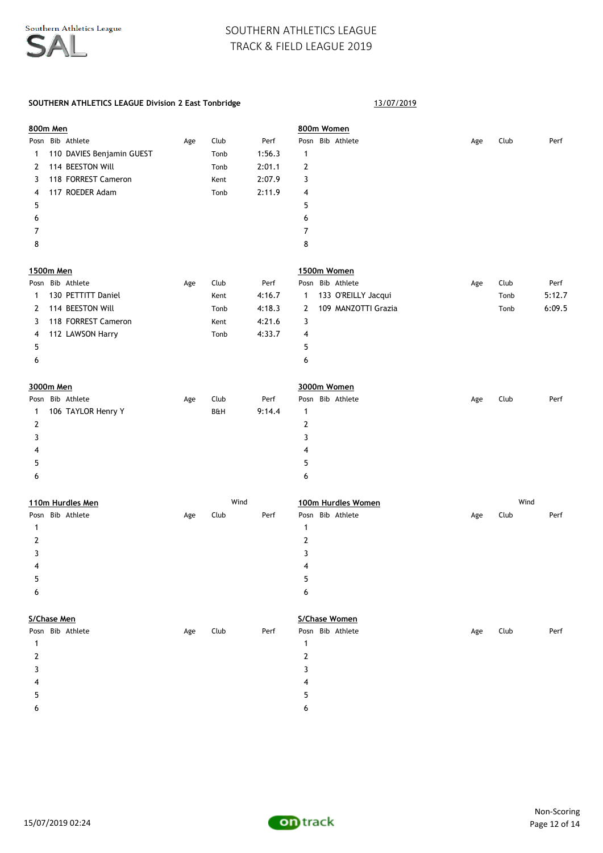### SOUTHERN ATHLETICS LEAGUE Division 2 East Tonbridge 13/07/2019

|   | 800m Men                  |     |      |        |                | 800m Women          |     |      |        |
|---|---------------------------|-----|------|--------|----------------|---------------------|-----|------|--------|
|   | Posn Bib Athlete          | Age | Club | Perf   |                | Posn Bib Athlete    | Age | Club | Perf   |
| 1 | 110 DAVIES Benjamin GUEST |     | Tonb | 1:56.3 | $\mathbf{1}$   |                     |     |      |        |
| 2 | 114 BEESTON Will          |     | Tonb | 2:01.1 | $\overline{2}$ |                     |     |      |        |
| 3 | 118 FORREST Cameron       |     | Kent | 2:07.9 | 3              |                     |     |      |        |
| 4 | 117 ROEDER Adam           |     | Tonb | 2:11.9 | 4              |                     |     |      |        |
| 5 |                           |     |      |        | 5              |                     |     |      |        |
| 6 |                           |     |      |        | 6              |                     |     |      |        |
| 7 |                           |     |      |        | 7              |                     |     |      |        |
| 8 |                           |     |      |        | 8              |                     |     |      |        |
|   | 1500m Men                 |     |      |        |                | 1500m Women         |     |      |        |
|   | Posn Bib Athlete          | Age | Club | Perf   |                | Posn Bib Athlete    | Age | Club | Perf   |
| 1 | 130 PETTITT Daniel        |     | Kent | 4:16.7 | $\mathbf{1}$   | 133 O'REILLY Jacqui |     | Tonb | 5:12.7 |
| 2 | 114 BEESTON Will          |     | Tonb | 4:18.3 | 2              | 109 MANZOTTI Grazia |     | Tonb | 6:09.5 |
| 3 | 118 FORREST Cameron       |     | Kent | 4:21.6 | 3              |                     |     |      |        |
| 4 | 112 LAWSON Harry          |     | Tonb | 4:33.7 | 4              |                     |     |      |        |
| 5 |                           |     |      |        | 5              |                     |     |      |        |
| 6 |                           |     |      |        | 6              |                     |     |      |        |
|   | 3000m Men                 |     |      |        |                | 3000m Women         |     |      |        |
|   | Posn Bib Athlete          | Age | Club | Perf   |                | Posn Bib Athlete    | Age | Club | Perf   |
| 1 | 106 TAYLOR Henry Y        |     | B&H  | 9:14.4 | $\mathbf{1}$   |                     |     |      |        |
| 2 |                           |     |      |        | 2              |                     |     |      |        |
| 3 |                           |     |      |        | 3              |                     |     |      |        |
| 4 |                           |     |      |        | 4              |                     |     |      |        |
| 5 |                           |     |      |        | 5              |                     |     |      |        |
| 6 |                           |     |      |        | 6              |                     |     |      |        |
|   |                           |     |      |        |                |                     |     |      |        |
|   | 110m Hurdles Men          |     | Wind |        |                | 100m Hurdles Women  |     | Wind |        |
|   | Posn Bib Athlete          | Age | Club | Perf   |                | Posn Bib Athlete    | Age | Club | Perf   |
| 1 |                           |     |      |        | $\mathbf{1}$   |                     |     |      |        |
| 2 |                           |     |      |        | $\overline{2}$ |                     |     |      |        |
| 3 |                           |     |      |        | 3              |                     |     |      |        |
| 4 |                           |     |      |        | 4              |                     |     |      |        |
| 5 |                           |     |      |        | 5              |                     |     |      |        |
| 6 |                           |     |      |        | 6              |                     |     |      |        |
|   | S/Chase Men               |     |      |        |                | S/Chase Women       |     |      |        |
|   | Posn Bib Athlete          | Age | Club | Perf   |                | Posn Bib Athlete    | Age | Club | Perf   |
| 1 |                           |     |      |        | $\mathbf{1}$   |                     |     |      |        |
| 2 |                           |     |      |        | $\mathbf{2}$   |                     |     |      |        |
| 3 |                           |     |      |        | 3              |                     |     |      |        |
| 4 |                           |     |      |        | 4              |                     |     |      |        |
| 5 |                           |     |      |        | 5              |                     |     |      |        |

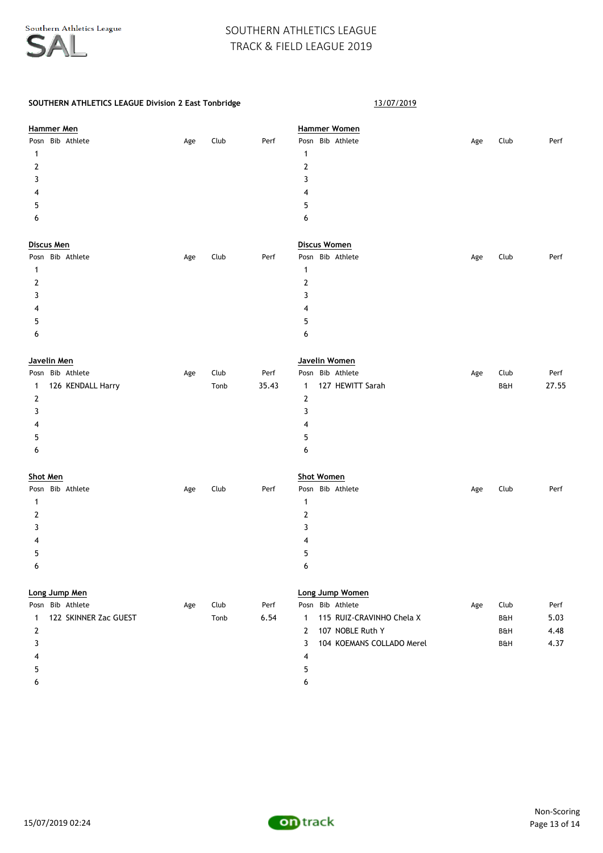| Hammer Men                 |     |      |       | <b>Hammer Women</b>                       |     |      |       |
|----------------------------|-----|------|-------|-------------------------------------------|-----|------|-------|
| Posn Bib Athlete           | Age | Club | Perf  | Posn Bib Athlete                          | Age | Club | Perf  |
| 1                          |     |      |       | $\mathbf{1}$                              |     |      |       |
| 2                          |     |      |       | $\mathbf{2}$                              |     |      |       |
| 3                          |     |      |       | 3                                         |     |      |       |
| 4                          |     |      |       | 4                                         |     |      |       |
| 5                          |     |      |       | 5                                         |     |      |       |
| 6                          |     |      |       | 6                                         |     |      |       |
| Discus Men                 |     |      |       | Discus Women                              |     |      |       |
| Posn Bib Athlete           | Age | Club | Perf  | Posn Bib Athlete                          | Age | Club | Perf  |
| 1                          |     |      |       | $\mathbf{1}$                              |     |      |       |
| 2                          |     |      |       | $\overline{2}$                            |     |      |       |
| 3                          |     |      |       | 3                                         |     |      |       |
| 4                          |     |      |       | 4                                         |     |      |       |
| 5                          |     |      |       | 5                                         |     |      |       |
| 6                          |     |      |       | 6                                         |     |      |       |
| Javelin Men                |     |      |       | Javelin Women                             |     |      |       |
| Posn Bib Athlete           | Age | Club | Perf  | Posn Bib Athlete                          | Age | Club | Perf  |
| 126 KENDALL Harry<br>1     |     | Tonb | 35.43 | 127 HEWITT Sarah<br>$\mathbf{1}$          |     | B&H  | 27.55 |
| 2                          |     |      |       | $\mathbf{2}$                              |     |      |       |
| 3                          |     |      |       | 3                                         |     |      |       |
| 4                          |     |      |       | 4                                         |     |      |       |
| 5                          |     |      |       | 5                                         |     |      |       |
| 6                          |     |      |       | 6                                         |     |      |       |
| <b>Shot Men</b>            |     |      |       | <b>Shot Women</b>                         |     |      |       |
| Posn Bib Athlete           | Age | Club | Perf  | Posn Bib Athlete                          | Age | Club | Perf  |
| 1                          |     |      |       | $\mathbf{1}$                              |     |      |       |
| 2                          |     |      |       | $\mathbf{2}$                              |     |      |       |
| 3                          |     |      |       | 3                                         |     |      |       |
| 4                          |     |      |       | 4                                         |     |      |       |
| 5                          |     |      |       | 5                                         |     |      |       |
| 6                          |     |      |       | 6                                         |     |      |       |
| Long Jump Men              |     |      |       | Long Jump Women                           |     |      |       |
| Posn Bib Athlete           | Age | Club | Perf  | Posn Bib Athlete                          | Age | Club | Perf  |
| 122 SKINNER Zac GUEST<br>1 |     | Tonb | 6.54  | 115 RUIZ-CRAVINHO Chela X<br>$\mathbf{1}$ |     | B&H  | 5.03  |
| $\overline{2}$             |     |      |       | 107 NOBLE Ruth Y<br>$\overline{2}$        |     | B&H  | 4.48  |
| 3                          |     |      |       | 3<br>104 KOEMANS COLLADO Merel            |     | B&H  | 4.37  |
| 4                          |     |      |       | 4                                         |     |      |       |
| 5                          |     |      |       | 5                                         |     |      |       |
| 6                          |     |      |       | 6                                         |     |      |       |